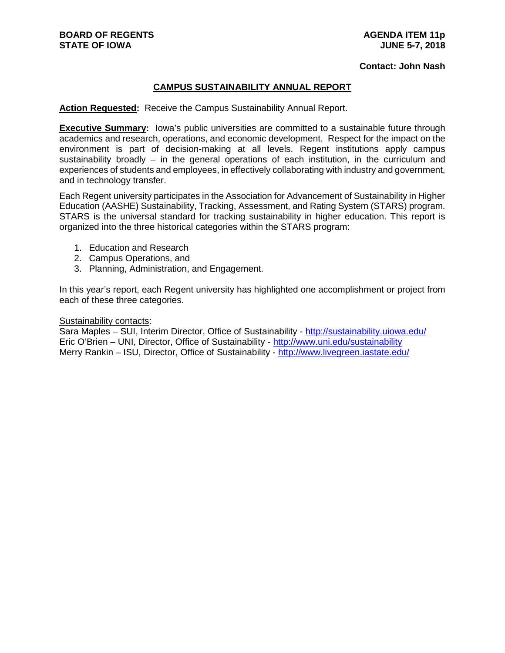#### **Contact: John Nash**

## **CAMPUS SUSTAINABILITY ANNUAL REPORT**

**Action Requested:** Receive the Campus Sustainability Annual Report.

**Executive Summary:** Iowa's public universities are committed to a sustainable future through academics and research, operations, and economic development. Respect for the impact on the environment is part of decision-making at all levels. Regent institutions apply campus sustainability broadly – in the general operations of each institution, in the curriculum and experiences of students and employees, in effectively collaborating with industry and government, and in technology transfer.

Each Regent university participates in the Association for Advancement of Sustainability in Higher Education (AASHE) Sustainability, Tracking, Assessment, and Rating System (STARS) program. STARS is the universal standard for tracking sustainability in higher education. This report is organized into the three historical categories within the STARS program:

- 1. Education and Research
- 2. Campus Operations, and
- 3. Planning, Administration, and Engagement.

In this year's report, each Regent university has highlighted one accomplishment or project from each of these three categories.

#### Sustainability contacts:

Sara Maples – SUI, Interim Director, Office of Sustainability - <http://sustainability.uiowa.edu/> Eric O'Brien – UNI, Director, Office of Sustainability - <http://www.uni.edu/sustainability> Merry Rankin – ISU, Director, Office of Sustainability - <http://www.livegreen.iastate.edu/>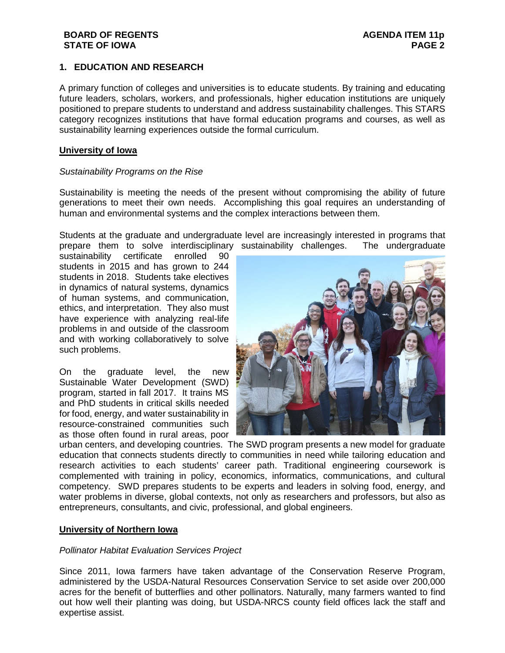## **1. EDUCATION AND RESEARCH**

A primary function of colleges and universities is to educate students. By training and educating future leaders, scholars, workers, and professionals, higher education institutions are uniquely positioned to prepare students to understand and address sustainability challenges. This STARS category recognizes institutions that have formal education programs and courses, as well as sustainability learning experiences outside the formal curriculum.

## **University of Iowa**

## *Sustainability Programs on the Rise*

Sustainability is meeting the needs of the present without compromising the ability of future generations to meet their own needs. Accomplishing this goal requires an understanding of human and environmental systems and the complex interactions between them.

Students at the graduate and undergraduate level are increasingly interested in programs that prepare them to solve interdisciplinary sustainability challenges. The undergraduate

sustainability certificate enrolled 90 students in 2015 and has grown to 244 students in 2018. Students take electives in dynamics of natural systems, dynamics of human systems, and communication, ethics, and interpretation. They also must have experience with analyzing real-life problems in and outside of the classroom and with working collaboratively to solve such problems.

On the graduate level, the new Sustainable Water Development (SWD) program, started in fall 2017. It trains MS and PhD students in critical skills needed for food, energy, and water sustainability in resource-constrained communities such as those often found in rural areas, poor



urban centers, and developing countries. The SWD program presents a new model for graduate education that connects students directly to communities in need while tailoring education and research activities to each students' career path. Traditional engineering coursework is complemented with training in policy, economics, informatics, communications, and cultural competency. SWD prepares students to be experts and leaders in solving food, energy, and water problems in diverse, global contexts, not only as researchers and professors, but also as entrepreneurs, consultants, and civic, professional, and global engineers.

## **University of Northern Iowa**

## *Pollinator Habitat Evaluation Services Project*

Since 2011, Iowa farmers have taken advantage of the Conservation Reserve Program, administered by the USDA-Natural Resources Conservation Service to set aside over 200,000 acres for the benefit of butterflies and other pollinators. Naturally, many farmers wanted to find out how well their planting was doing, but USDA-NRCS county field offices lack the staff and expertise assist.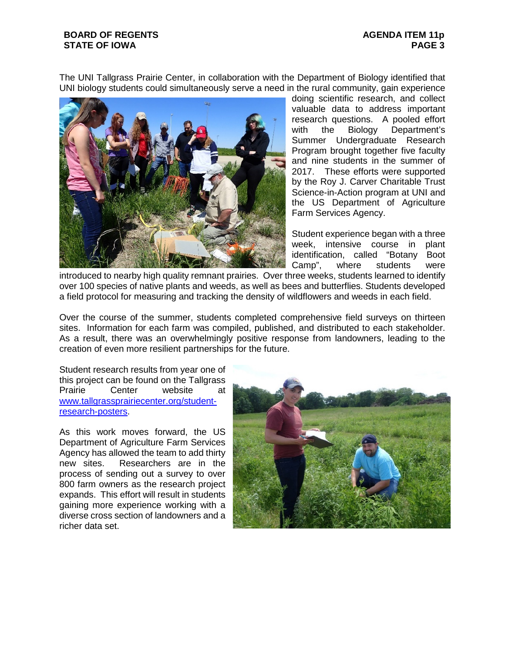The UNI Tallgrass Prairie Center, in collaboration with the Department of Biology identified that UNI biology students could simultaneously serve a need in the rural community, gain experience



doing scientific research, and collect valuable data to address important research questions. A pooled effort with the Biology Department's Summer Undergraduate Research Program brought together five faculty and nine students in the summer of 2017. These efforts were supported by the Roy J. Carver Charitable Trust Science-in-Action program at UNI and the US Department of Agriculture Farm Services Agency.

Student experience began with a three week, intensive course in plant identification, called "Botany Boot Camp", where students were

introduced to nearby high quality remnant prairies. Over three weeks, students learned to identify over 100 species of native plants and weeds, as well as bees and butterflies. Students developed a field protocol for measuring and tracking the density of wildflowers and weeds in each field.

Over the course of the summer, students completed comprehensive field surveys on thirteen sites. Information for each farm was compiled, published, and distributed to each stakeholder. As a result, there was an overwhelmingly positive response from landowners, leading to the creation of even more resilient partnerships for the future.

Student research results from year one of this project can be found on the Tallgrass<br>Prairie Center website at website at [www.tallgrassprairiecenter.org/student](http://www.tallgrassprairiecenter.org/student-research-posters)[research-posters.](http://www.tallgrassprairiecenter.org/student-research-posters)

As this work moves forward, the US Department of Agriculture Farm Services Agency has allowed the team to add thirty new sites. Researchers are in the process of sending out a survey to over 800 farm owners as the research project expands. This effort will result in students gaining more experience working with a diverse cross section of landowners and a richer data set.

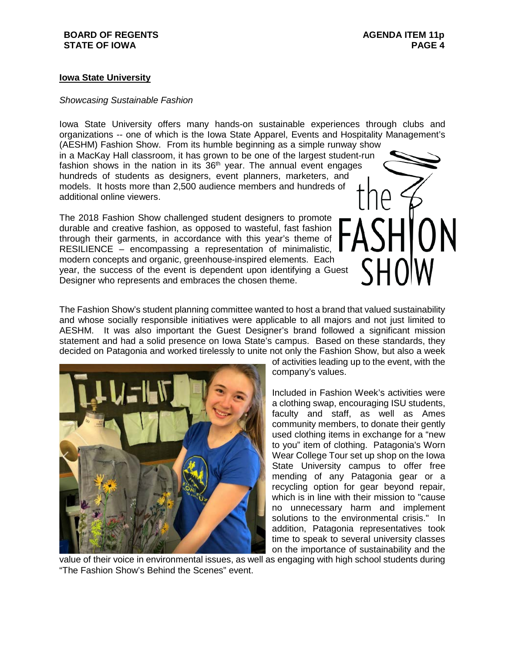## **Iowa State University**

## *Showcasing Sustainable Fashion*

Iowa State University offers many hands-on sustainable experiences through clubs and organizations -- one of which is the Iowa State Apparel, Events and Hospitality Management's (AESHM) Fashion Show. From its humble beginning as a simple runway show in a MacKay Hall classroom, it has grown to be one of the largest student-run fashion shows in the nation in its  $36<sup>th</sup>$  year. The annual event engages hundreds of students as designers, event planners, marketers, and models. It hosts more than 2,500 audience members and hundreds of additional online viewers.

The 2018 Fashion Show challenged student designers to promote durable and creative fashion, as opposed to wasteful, fast fashion through their garments, in accordance with this year's theme of RESILIENCE – encompassing a representation of minimalistic, modern concepts and organic, greenhouse-inspired elements. Each year, the success of the event is dependent upon identifying a Guest Designer who represents and embraces the chosen theme.

The Fashion Show's student planning committee wanted to host a brand that valued sustainability and whose socially responsible initiatives were applicable to all majors and not just limited to AESHM. It was also important the Guest Designer's brand followed a significant mission statement and had a solid presence on Iowa State's campus. Based on these standards, they decided on Patagonia and worked tirelessly to unite not only the Fashion Show, but also a week



of activities leading up to the event, with the company's values.

Included in Fashion Week's activities were a clothing swap, encouraging ISU students, faculty and staff, as well as Ames community members, to donate their gently used clothing items in exchange for a "new to you" item of clothing. Patagonia's Worn Wear College Tour set up shop on the Iowa State University campus to offer free mending of any Patagonia gear or a recycling option for gear beyond repair, which is in line with their mission to "cause no unnecessary harm and implement solutions to the environmental crisis." In addition, Patagonia representatives took time to speak to several university classes on the importance of sustainability and the

value of their voice in environmental issues, as well as engaging with high school students during "The Fashion Show's Behind the Scenes" event.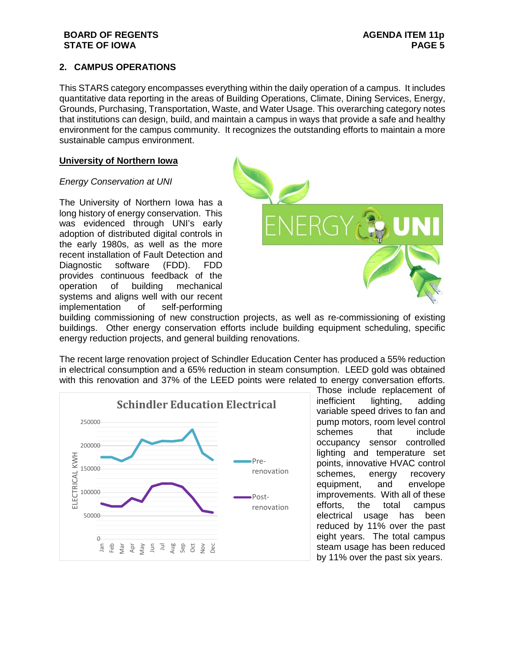# **2. CAMPUS OPERATIONS**

This STARS category encompasses everything within the daily operation of a campus. It includes quantitative data reporting in the areas of Building Operations, Climate, Dining Services, Energy, Grounds, Purchasing, Transportation, Waste, and Water Usage. This overarching category notes that institutions can design, build, and maintain a campus in ways that provide a safe and healthy environment for the campus community. It recognizes the outstanding efforts to maintain a more sustainable campus environment.

## **University of Northern Iowa**

## *Energy Conservation at UNI*

The University of Northern Iowa has a long history of energy conservation. This was evidenced through UNI's early adoption of distributed digital controls in the early 1980s, as well as the more recent installation of Fault Detection and Diagnostic software (FDD). FDD provides continuous feedback of the operation of building mechanical systems and aligns well with our recent implementation of self-performing



building commissioning of new construction projects, as well as re-commissioning of existing buildings. Other energy conservation efforts include building equipment scheduling, specific energy reduction projects, and general building renovations.

The recent large renovation project of Schindler Education Center has produced a 55% reduction in electrical consumption and a 65% reduction in steam consumption. LEED gold was obtained with this renovation and 37% of the LEED points were related to energy conversation efforts.



Those include replacement of inefficient lighting, adding variable speed drives to fan and pump motors, room level control schemes that include occupancy sensor controlled lighting and temperature set points, innovative HVAC control schemes, energy recovery equipment, and envelope improvements. With all of these efforts, the total campus electrical usage has been reduced by 11% over the past eight years. The total campus steam usage has been reduced by 11% over the past six years.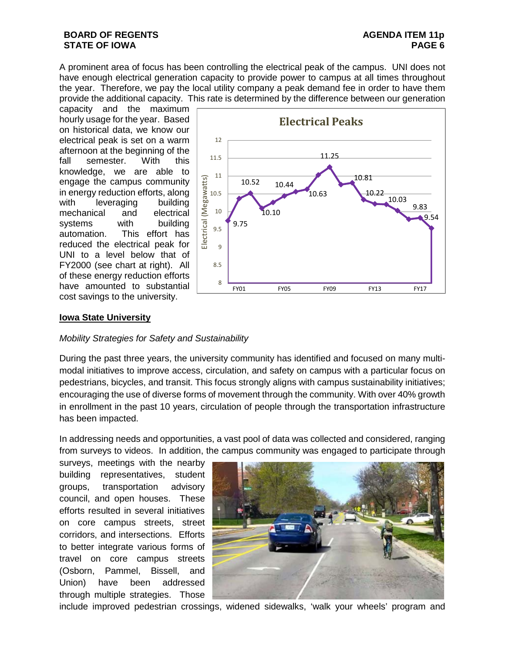A prominent area of focus has been controlling the electrical peak of the campus. UNI does not have enough electrical generation capacity to provide power to campus at all times throughout the year. Therefore, we pay the local utility company a peak demand fee in order to have them provide the additional capacity. This rate is determined by the difference between our generation

capacity and the maximum hourly usage for the year. Based on historical data, we know our electrical peak is set on a warm afternoon at the beginning of the fall semester. With this knowledge, we are able to engage the campus community in energy reduction efforts, along with leveraging building mechanical and electrical systems with building automation. This effort has reduced the electrical peak for UNI to a level below that of FY2000 (see chart at right). All of these energy reduction efforts have amounted to substantial cost savings to the university.



# **Iowa State University**

## *Mobility Strategies for Safety and Sustainability*

During the past three years, the university community has identified and focused on many multimodal initiatives to improve access, circulation, and safety on campus with a particular focus on pedestrians, bicycles, and transit. This focus strongly aligns with campus sustainability initiatives; encouraging the use of diverse forms of movement through the community. With over 40% growth in enrollment in the past 10 years, circulation of people through the transportation infrastructure has been impacted.

In addressing needs and opportunities, a vast pool of data was collected and considered, ranging from surveys to videos. In addition, the campus community was engaged to participate through

surveys, meetings with the nearby building representatives, student groups, transportation advisory council, and open houses. These efforts resulted in several initiatives on core campus streets, street corridors, and intersections. Efforts to better integrate various forms of travel on core campus streets (Osborn, Pammel, Bissell, and Union) have been addressed through multiple strategies. Those



include improved pedestrian crossings, widened sidewalks, 'walk your wheels' program and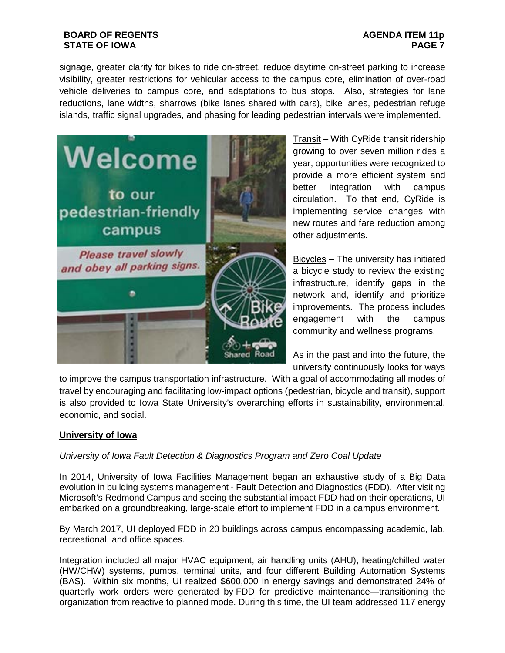# **AGENDA ITEM 11p PAGE 7**

signage, greater clarity for bikes to ride on-street, reduce daytime on-street parking to increase visibility, greater restrictions for vehicular access to the campus core, elimination of over-road vehicle deliveries to campus core, and adaptations to bus stops. Also, strategies for lane reductions, lane widths, sharrows (bike lanes shared with cars), bike lanes, pedestrian refuge islands, traffic signal upgrades, and phasing for leading pedestrian intervals were implemented.



Transit – With CyRide transit ridership growing to over seven million rides a year, opportunities were recognized to provide a more efficient system and better integration with campus circulation. To that end, CyRide is implementing service changes with new routes and fare reduction among other adjustments.

Bicycles – The university has initiated a bicycle study to review the existing infrastructure, identify gaps in the network and, identify and prioritize improvements. The process includes engagement with the campus community and wellness programs.

As in the past and into the future, the university continuously looks for ways

to improve the campus transportation infrastructure. With a goal of accommodating all modes of travel by encouraging and facilitating low-impact options (pedestrian, bicycle and transit), support is also provided to Iowa State University's overarching efforts in sustainability, environmental, economic, and social.

# **University of Iowa**

# *University of Iowa Fault Detection & Diagnostics Program and Zero Coal Update*

In 2014, University of Iowa Facilities Management began an exhaustive study of a Big Data evolution in building systems management - Fault Detection and Diagnostics (FDD). After visiting Microsoft's Redmond Campus and seeing the substantial impact FDD had on their operations, UI embarked on a groundbreaking, large-scale effort to implement FDD in a campus environment.

By March 2017, UI deployed FDD in 20 buildings across campus encompassing academic, lab, recreational, and office spaces.

Integration included all major HVAC equipment, air handling units (AHU), heating/chilled water (HW/CHW) systems, pumps, terminal units, and four different Building Automation Systems (BAS). Within six months, UI realized \$600,000 in energy savings and demonstrated 24% of quarterly work orders were generated by FDD for predictive maintenance—transitioning the organization from reactive to planned mode. During this time, the UI team addressed 117 energy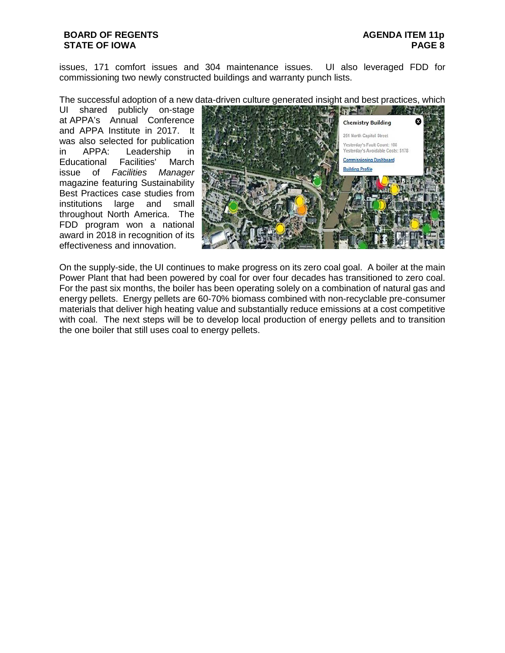issues, 171 comfort issues and 304 maintenance issues. UI also leveraged FDD for commissioning two newly constructed buildings and warranty punch lists.

The successful adoption of a new data-driven culture generated insight and best practices, which

UI shared publicly on-stage at APPA's Annual Conference and APPA Institute in 2017. It was also selected for publication<br>in APPA: Leadership in in APPA: Leadership in Educational Facilities' March issue of *Facilities Manager* magazine featuring Sustainability Best Practices case studies from institutions large and small throughout North America. The FDD program won a national award in 2018 in recognition of its effectiveness and innovation.



On the supply-side, the UI continues to make progress on its zero coal goal. A boiler at the main Power Plant that had been powered by coal for over four decades has transitioned to zero coal. For the past six months, the boiler has been operating solely on a combination of natural gas and energy pellets. Energy pellets are 60-70% biomass combined with non-recyclable pre-consumer materials that deliver high heating value and substantially reduce emissions at a cost competitive with coal. The next steps will be to develop local production of energy pellets and to transition the one boiler that still uses coal to energy pellets.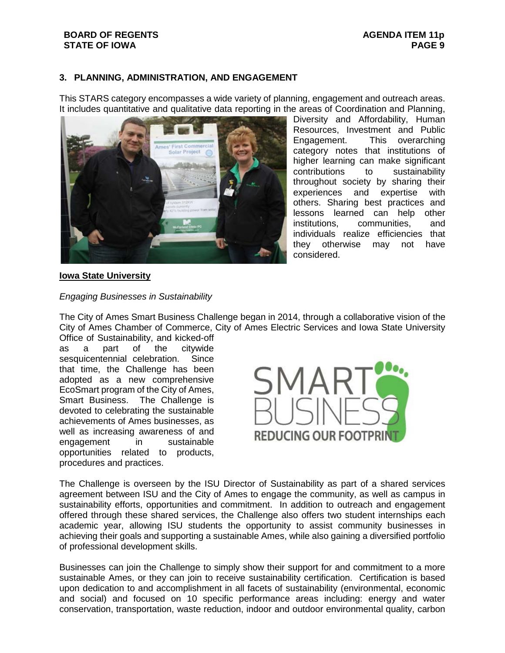# **3. PLANNING, ADMINISTRATION, AND ENGAGEMENT**

This STARS category encompasses a wide variety of planning, engagement and outreach areas. It includes quantitative and qualitative data reporting in the areas of Coordination and Planning,



Diversity and Affordability, Human Resources, Investment and Public Engagement. This overarching category notes that institutions of higher learning can make significant contributions to sustainability throughout society by sharing their experiences and expertise with others. Sharing best practices and lessons learned can help other institutions, communities, and individuals realize efficiencies that they otherwise may not have considered.

## **Iowa State University**

#### *Engaging Businesses in Sustainability*

The City of Ames Smart Business Challenge began in 2014, through a collaborative vision of the City of Ames Chamber of Commerce, City of Ames Electric Services and Iowa State University

Office of Sustainability, and kicked-off as a part of the citywide sesquicentennial celebration. Since that time, the Challenge has been adopted as a new comprehensive EcoSmart program of the City of Ames, Smart Business. The Challenge is devoted to celebrating the sustainable achievements of Ames businesses, as well as increasing awareness of and engagement in sustainable opportunities related to products, procedures and practices.



The Challenge is overseen by the ISU Director of Sustainability as part of a shared services agreement between ISU and the City of Ames to engage the community, as well as campus in sustainability efforts, opportunities and commitment. In addition to outreach and engagement offered through these shared services, the Challenge also offers two student internships each academic year, allowing ISU students the opportunity to assist community businesses in achieving their goals and supporting a sustainable Ames, while also gaining a diversified portfolio of professional development skills.

Businesses can join the Challenge to simply show their support for and commitment to a more sustainable Ames, or they can join to receive sustainability certification. Certification is based upon dedication to and accomplishment in all facets of sustainability (environmental, economic and social) and focused on 10 specific performance areas including: energy and water conservation, transportation, waste reduction, indoor and outdoor environmental quality, carbon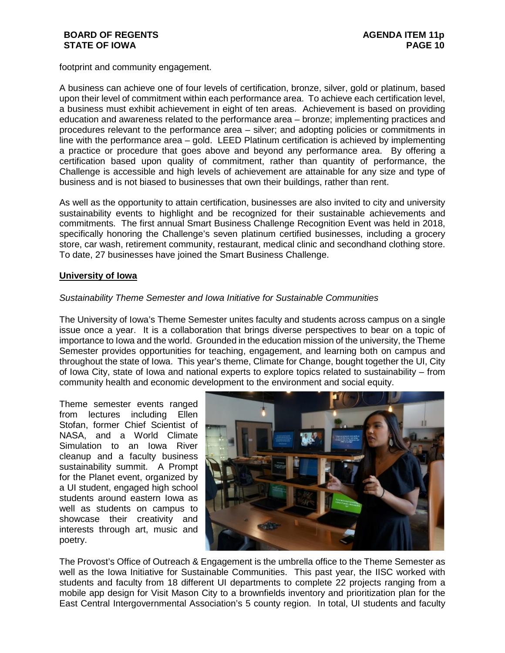footprint and community engagement.

A business can achieve one of four levels of certification, bronze, silver, gold or platinum, based upon their level of commitment within each performance area. To achieve each certification level, a business must exhibit achievement in eight of ten areas. Achievement is based on providing education and awareness related to the performance area – bronze; implementing practices and procedures relevant to the performance area – silver; and adopting policies or commitments in line with the performance area – gold. LEED Platinum certification is achieved by implementing a practice or procedure that goes above and beyond any performance area. By offering a certification based upon quality of commitment, rather than quantity of performance, the Challenge is accessible and high levels of achievement are attainable for any size and type of business and is not biased to businesses that own their buildings, rather than rent.

As well as the opportunity to attain certification, businesses are also invited to city and university sustainability events to highlight and be recognized for their sustainable achievements and commitments. The first annual Smart Business Challenge Recognition Event was held in 2018, specifically honoring the Challenge's seven platinum certified businesses, including a grocery store, car wash, retirement community, restaurant, medical clinic and secondhand clothing store. To date, 27 businesses have joined the Smart Business Challenge.

# **University of Iowa**

## *Sustainability Theme Semester and Iowa Initiative for Sustainable Communities*

The University of Iowa's Theme Semester unites faculty and students across campus on a single issue once a year. It is a collaboration that brings diverse perspectives to bear on a topic of importance to Iowa and the world. Grounded in the education mission of the university, the Theme Semester provides opportunities for teaching, engagement, and learning both on campus and throughout the state of Iowa. This year's theme, Climate for Change, bought together the UI, City of Iowa City, state of Iowa and national experts to explore topics related to sustainability – from community health and economic development to the environment and social equity.

Theme semester events ranged from lectures including Ellen Stofan, former Chief Scientist of NASA, and a World Climate Simulation to an Iowa River cleanup and a faculty business sustainability summit. A Prompt for the Planet event, organized by a UI student, engaged high school students around eastern Iowa as well as students on campus to showcase their creativity and interests through art, music and poetry.



The Provost's Office of Outreach & Engagement is the umbrella office to the Theme Semester as well as the Iowa Initiative for Sustainable Communities. This past year, the IISC worked with students and faculty from 18 different UI departments to complete 22 projects ranging from a mobile app design for Visit Mason City to a brownfields inventory and prioritization plan for the East Central Intergovernmental Association's 5 county region. In total, UI students and faculty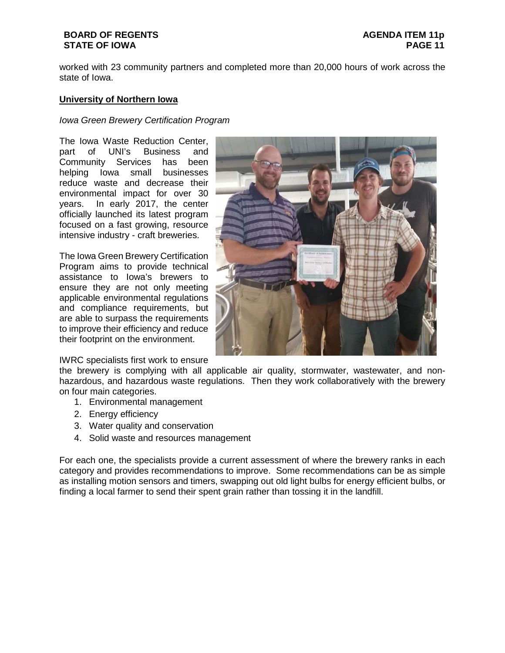worked with 23 community partners and completed more than 20,000 hours of work across the state of Iowa.

### **University of Northern Iowa**

#### *Iowa Green Brewery Certification Program*

The Iowa Waste Reduction Center, part of UNI's Business and Community Services has been helping Iowa small businesses reduce waste and decrease their environmental impact for over 30 years. In early 2017, the center officially launched its latest program focused on a fast growing, resource intensive industry - craft breweries.

The Iowa Green Brewery Certification Program aims to provide technical assistance to Iowa's brewers to ensure they are not only meeting applicable environmental regulations and compliance requirements, but are able to surpass the requirements to improve their efficiency and reduce their footprint on the environment.

IWRC specialists first work to ensure



the brewery is complying with all applicable air quality, stormwater, wastewater, and nonhazardous, and hazardous waste regulations. Then they work collaboratively with the brewery on four main categories.

- 1. Environmental management
- 2. Energy efficiency
- 3. Water quality and conservation
- 4. Solid waste and resources management

For each one, the specialists provide a current assessment of where the brewery ranks in each category and provides recommendations to improve. Some recommendations can be as simple as installing motion sensors and timers, swapping out old light bulbs for energy efficient bulbs, or finding a local farmer to send their spent grain rather than tossing it in the landfill.